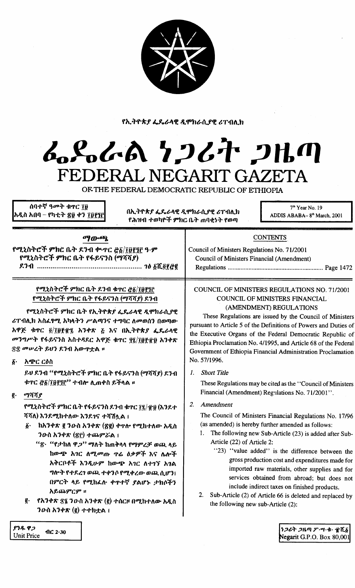የኢትዮጵያ ፌዴራላዊ ዲሞክራሲያዊ ሪፐብሊክ

# んぺんへ シンムヤ つルの FEDERAL NEGARIT GAZETA

OF THE FEDERAL DEMOCRATIC REPUBLIC OF ETHIOPIA

ሰባተኛ ዓ**መት ቁ**ዋር ገፀ አዲስ አበባ – የካቲት <mark>፳</mark>፱ ቀን ፲፱፻፺፫

በኢትዮጵያ ፌዴራላዊ ዲሞክራሲያዊ ሪፐብሊክ የሕዝብ ተወካዮች ምክር ቤት ጠባቂነት የወጣ

7<sup>th</sup> Year No. 19 ADDIS ABABA-8<sup>th</sup> March, 2001

## ማውጫ

የሚኒስትሮች ምክሮ ቤት ደንብ ቍተር ፸፩/፲፱፻፺፫ ዓ·ም የሚኒስትሮች ምክር ቤት የፋይናንስ (ማሻሻያ) 

> የሚኒስትሮች ምክር ቤት ደንብ ቁተር ፸፩/፲፱፻፺፫ የሚኒስትሮች ምክር ቤት የፋይናንስ (ማሻሻያ) ደንብ

የሚኒስትሮች ምክር ቤት የኢትዮጵያ ፌዴራላዊ ዲሞክራሲያዊ ሪፐብሊክ አስፈፃሚ አካላትን ሥልጣንና ተግባር ለመወሰን በወጣው አዋጅ ቁጥር ፴/፲፱፻፹፯ አንቀጽ ፩ እና በኢትዮጵ*ያ ፌ*ዴራላዊ መንግሥት የፋይናንስ አስተዳደር አዋጅ ቁተር ፶፯/፲፱፻፹፱ አንቀጽ ፳፰ መሠረት ይህን ደንብ አውዋቷል ፡፡

፩· አ*ጭር ርዕ*ስ

ይህ ደንብ ''የሚኒስትሮች ምክር ቤት የፋይናንስ (ማሻሻያ) ደንብ ቱፕር <u>ሮ፩/፲፱፻፺፫'</u>' ተብሎ ሊጠቀስ ይችላል ፡፡

ማሻሻያ  $\vec{e}$ .

> የሚኒስትሮች ምክር ቤት የፋይናንስ ደንብ ቁጥር ፲፯/፹፱ (እንደተ ሻሻለ) እንደሚከተለው እንደገና ተሻሽሏል ፤

- ከአንቀጽ ፪ ንውስ አንቀጽ (፳፪) ቀጥሎ የሚከተለው አዲስ  $\boldsymbol{\delta}$ . ንውስ አንቀጽ (፳፫) ተጨምሯል ፤
	- "፳· "የታከለ ዋ*ጋ*" ማለት ከጠቅላላ የማምረቻ ወጪ ላይ ከውጭ አገር ለሚመጡ ዋሬ ዕቃዎች እና ሌሎች አቅርቦቶች እንዲሁም ከውጭ አገር ለተገኘ አገል ግሎት የተደረገ ወጪ ተቀንሶ የሚቀረው ወጪ ሲሆን፤ በምርት ላይ የሚከፌሉ ቀጥተኛ ያልሆኑ ታክሶችን አይጨምርም ።
- የአንቀጽ ፳፯ ንውስ አንቀጽ (፪) ተሰርዞ በሚከተለው አዲስ g. ንውስ አንቀጽ (፪) ተተክቷል ፤

### COUNCIL OF MINISTERS REGULATIONS NO. 71/2001 COUNCIL OF MINISTERS FINANCIAL (AMENDMENT) REGULATIONS

**CONTENTS** 

Council of Ministers Regulations No. 71/2001

**Council of Ministers Financial (Amendment)** 

These Regulations are issued by the Council of Ministers pursuant to Article 5 of the Definitions of Powers and Duties of the Executive Organs of the Federal Democratic Republic of Ethiopia Proclamation No. 4/1995, and Article 68 of the Federal Government of Ethiopia Financial Administration Proclamation No. 57/1996.

1. Short Title

These Regulations may be cited as the "Council of Ministers" Financial (Amendment) Regulations No. 71/2001".

2. Amendment

The Council of Ministers Financial Regulations No. 17/96 (as amended) is hereby further amended as follows:

- 1. The following new Sub-Article (23) is added after Sub-Article (22) of Article 2:
	- "23) "value added" is the difference between the gross production cost and expenditures made for imported raw materials, other supplies and for services obtained from abroad; but does not include indirect taxes on finished products.
- 2. Sub-Article (2) of Article 66 is deleted and replaced by the following new sub-Article (2):

ያንዱ ዋጋ  $\mathbf{AC}$  2.30 **Unit Price** 

ነጋሪት ጋዜጣ ፖ…ሣ・ቁ・ ፹ሺ፩ Negarit G.P.O. Box  $80,001$